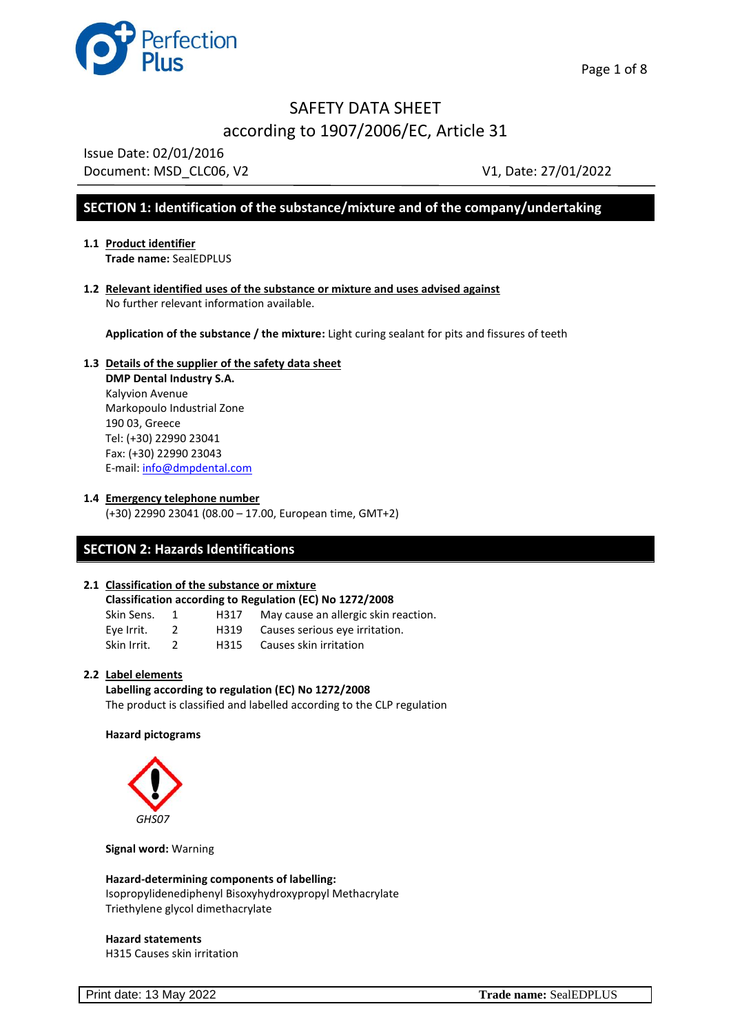

Issue Date: 02/01/2016 Document: MSD CLC06, V2 V1, Date: 27/01/2022

## **SECTION 1: Identification of the substance/mixture and of the company/undertaking**

- **1.1 Product identifier Trade name:** SealEDPLUS
- **1.2 Relevant identified uses of the substance or mixture and uses advised against**  No further relevant information available.

**Application of the substance / the mixture:** Light curing sealant for pits and fissures of teeth

### **1.3 Details of the supplier of the safety data sheet DMP Dental Industry S.A.** Kalyvion Avenue

Markopoulo Industrial Zone 190 03, Greece Tel: (+30) 22990 23041 Fax: (+30) 22990 23043 E-mail: [info@dmpdental.com](mailto:info@dmpdental.com) 

**1.4 Emergency telephone number**

(+30) 22990 23041 (08.00 – 17.00, European time, GMT+2)

## **SECTION 2: Hazards Identifications**

### **2.1 Classification of the substance or mixture**

| Classification according to Regulation (EC) No 1272/2008 |  |      |                                      |  |  |  |
|----------------------------------------------------------|--|------|--------------------------------------|--|--|--|
| Skin Sens.                                               |  | H317 | May cause an allergic skin reaction. |  |  |  |
| Eye Irrit.                                               |  | H319 | Causes serious eye irritation.       |  |  |  |
| Skin Irrit.                                              |  | H315 | Causes skin irritation               |  |  |  |

#### **2.2 Label elements**

**Labelling according to regulation (EC) No 1272/2008** The product is classified and labelled according to the CLP regulation

#### **Hazard pictograms**



**Signal word:** Warning

**Hazard-determining components of labelling:** Isopropylidenediphenyl Bisoxyhydroxypropyl Methacrylate Triethylene glycol dimethacrylate

#### **Hazard statements**

H315 Causes skin irritation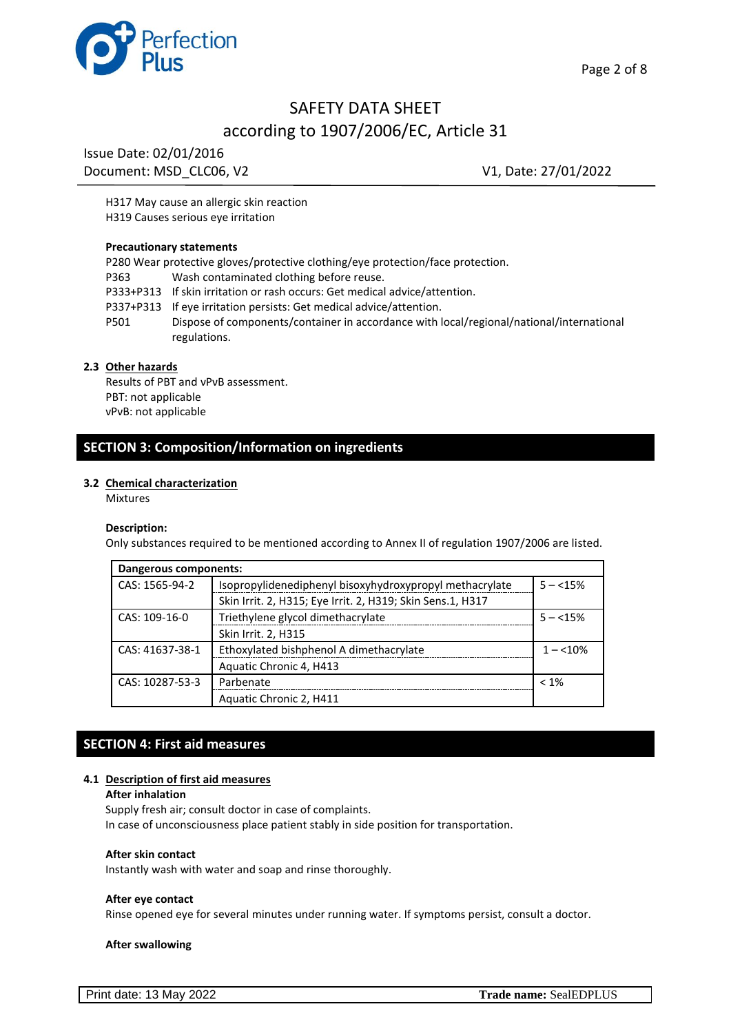

Issue Date: 02/01/2016 Document: MSD CLC06, V2 V1, Date: 27/01/2022

H317 May cause an allergic skin reaction H319 Causes serious eye irritation

#### **Precautionary statements**

P280 Wear protective gloves/protective clothing/eye protection/face protection. P363 Wash contaminated clothing before reuse. P333+P313 If skin irritation or rash occurs: Get medical advice/attention. P337+P313 If eye irritation persists: Get medical advice/attention. P501 Dispose of components/container in accordance with local/regional/national/international regulations.

#### **2.3 Other hazards**

Results of PBT and νPνB assessment. PBT: not applicable νPνB: not applicable

## **SECTION 3: Composition/Information on ingredients**

#### **3.2 Chemical characterization**

Mixtures

#### **Description:**

Only substances required to be mentioned according to Annex II of regulation 1907/2006 are listed.

| Dangerous components: |                                                                      |            |  |  |
|-----------------------|----------------------------------------------------------------------|------------|--|--|
| CAS: 1565-94-2        | Isopropylidenediphenyl bisoxyhydroxypropyl methacrylate<br>$5 - 15%$ |            |  |  |
|                       | Skin Irrit. 2, H315; Eye Irrit. 2, H319; Skin Sens.1, H317           |            |  |  |
| CAS: 109-16-0         | Triethylene glycol dimethacrylate                                    | $5 - 15%$  |  |  |
|                       | Skin Irrit. 2, H315                                                  |            |  |  |
| CAS: 41637-38-1       | Ethoxylated bishphenol A dimethacrylate                              | $1 - 10\%$ |  |  |
|                       | Aquatic Chronic 4, H413                                              |            |  |  |
| CAS: 10287-53-3       | Parbenate                                                            | $< 1\%$    |  |  |
|                       | Aquatic Chronic 2, H411                                              |            |  |  |

## **SECTION 4: First aid measures**

#### **4.1 Description of first aid measures**

#### **After inhalation**

Supply fresh air; consult doctor in case of complaints. In case of unconsciousness place patient stably in side position for transportation.

#### **After skin contact**

Instantly wash with water and soap and rinse thoroughly.

#### **After eye contact**

Rinse opened eye for several minutes under running water. If symptoms persist, consult a doctor.

#### **After swallowing**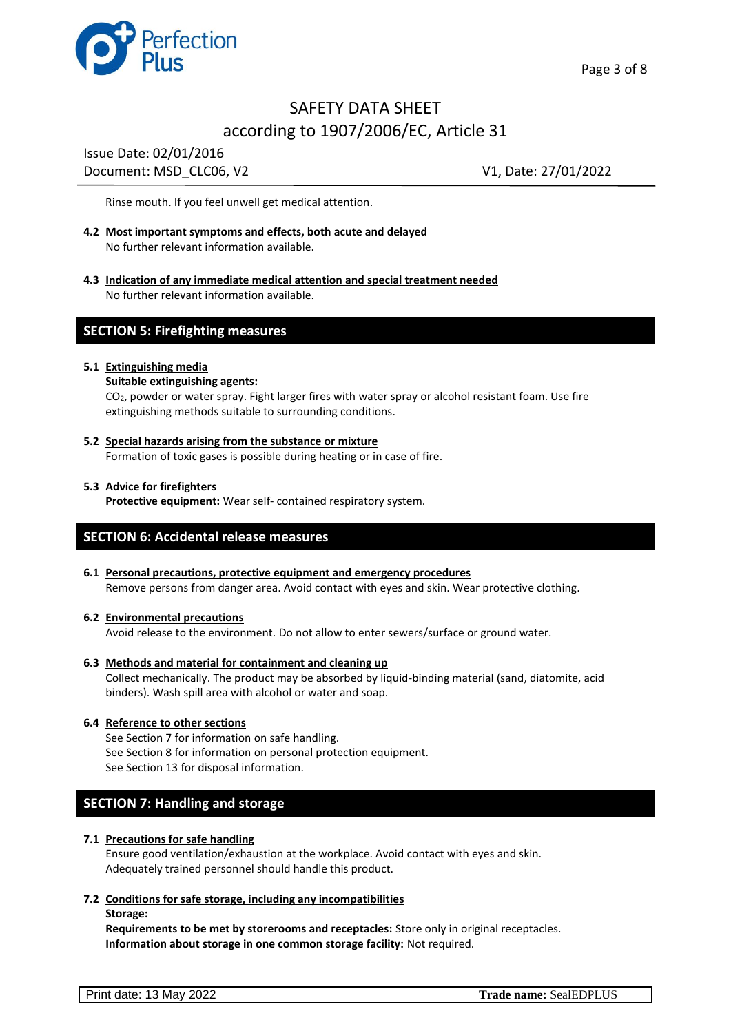

Issue Date: 02/01/2016 Document: MSD\_CLC06, V2 V1, Date: 27/01/2022

Rinse mouth. If you feel unwell get medical attention.

- **4.2 Most important symptoms and effects, both acute and delayed** No further relevant information available.
- **4.3 Indication of any immediate medical attention and special treatment needed** No further relevant information available.

### **SECTION 5: Firefighting measures**

#### **5.1 Extinguishing media**

#### **Suitable extinguishing agents:**

CO2, powder or water spray. Fight larger fires with water spray or alcohol resistant foam. Use fire extinguishing methods suitable to surrounding conditions.

#### **5.2 Special hazards arising from the substance or mixture**

Formation of toxic gases is possible during heating or in case of fire.

#### **5.3 Advice for firefighters**

**Protective equipment:** Wear self- contained respiratory system.

### **SECTION 6: Accidental release measures**

**6.1 Personal precautions, protective equipment and emergency procedures** Remove persons from danger area. Avoid contact with eyes and skin. Wear protective clothing.

#### **6.2 Environmental precautions**

Avoid release to the environment. Do not allow to enter sewers/surface or ground water.

#### **6.3 Methods and material for containment and cleaning up**

Collect mechanically. The product may be absorbed by liquid-binding material (sand, diatomite, acid binders). Wash spill area with alcohol or water and soap.

#### **6.4 Reference to other sections**

See Section 7 for information on safe handling. See Section 8 for information on personal protection equipment. See Section 13 for disposal information.

### **SECTION 7: Handling and storage**

#### **7.1 Precautions for safe handling**

Ensure good ventilation/exhaustion at the workplace. Avoid contact with eyes and skin. Adequately trained personnel should handle this product.

#### **7.2 Conditions for safe storage, including any incompatibilities**

**Storage:**

**Requirements to be met by storerooms and receptacles:** Store only in original receptacles. **Information about storage in one common storage facility:** Not required.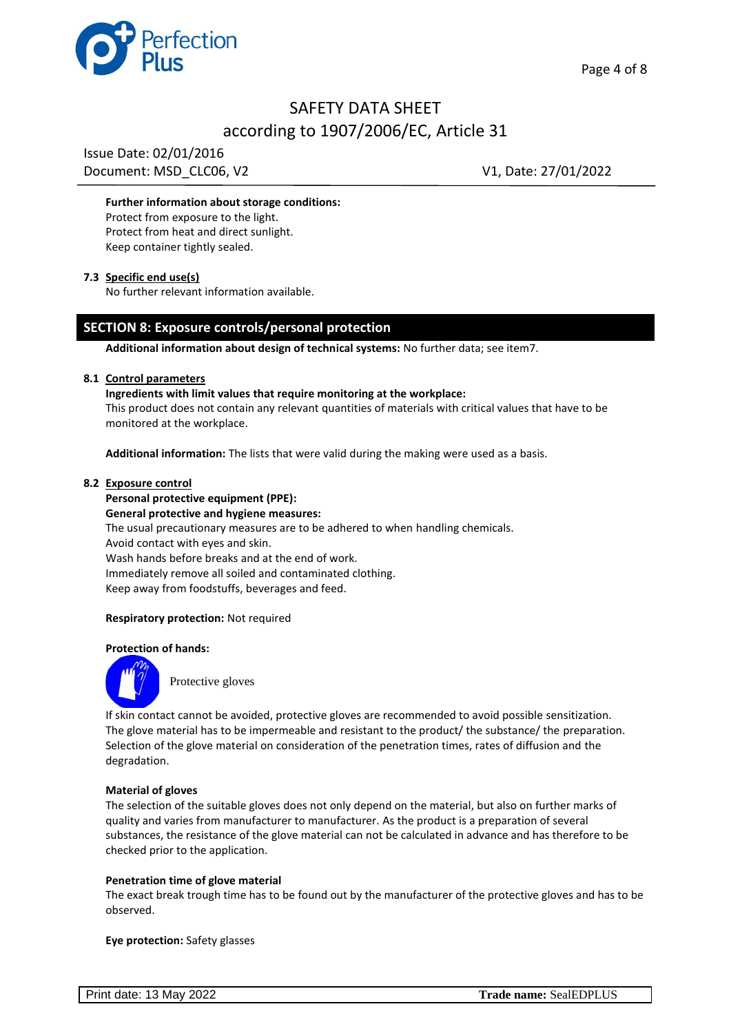



Issue Date: 02/01/2016 Document: MSD\_CLC06, V2 V1, Date: 27/01/2022

#### **Further information about storage conditions:**

Protect from exposure to the light. Protect from heat and direct sunlight. Keep container tightly sealed.

#### **7.3 Specific end use(s)**

No further relevant information available.

### **SECTION 8: Exposure controls/personal protection**

**Additional information about design of technical systems:** No further data; see item7.

#### **8.1 Control parameters**

**Ingredients with limit values that require monitoring at the workplace:**

This product does not contain any relevant quantities of materials with critical values that have to be monitored at the workplace.

**Additional information:** The lists that were valid during the making were used as a basis.

#### **8.2 Exposure control**

**Personal protective equipment (PPE): General protective and hygiene measures:** The usual precautionary measures are to be adhered to when handling chemicals. Avoid contact with eyes and skin. Wash hands before breaks and at the end of work. Immediately remove all soiled and contaminated clothing. Keep away from foodstuffs, beverages and feed.

#### **Respiratory protection:** Not required

#### **Protection of hands:**



Protective gloves

If skin contact cannot be avoided, protective gloves are recommended to avoid possible sensitization. The glove material has to be impermeable and resistant to the product/ the substance/ the preparation. Selection of the glove material on consideration of the penetration times, rates of diffusion and the degradation.

#### **Material of gloves**

The selection of the suitable gloves does not only depend on the material, but also on further marks of quality and varies from manufacturer to manufacturer. As the product is a preparation of several substances, the resistance of the glove material can not be calculated in advance and has therefore to be checked prior to the application.

#### **Penetration time of glove material**

The exact break trough time has to be found out by the manufacturer of the protective gloves and has to be observed.

**Eye protection:** Safety glasses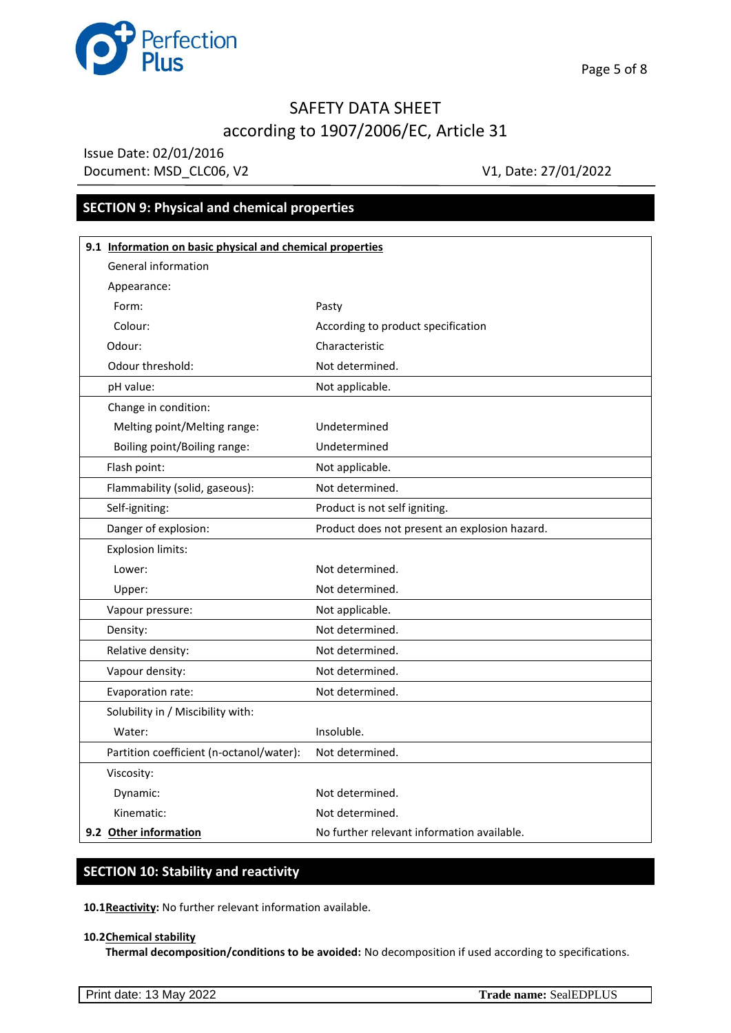

Issue Date: 02/01/2016 Document: MSD\_CLC06, V2 V1, Date: 27/01/2022

## **SECTION 9: Physical and chemical properties**

| 9.1 Information on basic physical and chemical properties |                                               |  |  |  |  |
|-----------------------------------------------------------|-----------------------------------------------|--|--|--|--|
| <b>General information</b>                                |                                               |  |  |  |  |
| Appearance:                                               |                                               |  |  |  |  |
| Form:                                                     | Pasty                                         |  |  |  |  |
| Colour:                                                   | According to product specification            |  |  |  |  |
| Odour:                                                    | Characteristic                                |  |  |  |  |
| Odour threshold:                                          | Not determined.                               |  |  |  |  |
| pH value:                                                 | Not applicable.                               |  |  |  |  |
| Change in condition:                                      |                                               |  |  |  |  |
| Melting point/Melting range:                              | Undetermined                                  |  |  |  |  |
| Boiling point/Boiling range:                              | Undetermined                                  |  |  |  |  |
| Flash point:                                              | Not applicable.                               |  |  |  |  |
| Flammability (solid, gaseous):                            | Not determined.                               |  |  |  |  |
| Self-igniting:                                            | Product is not self igniting.                 |  |  |  |  |
| Danger of explosion:                                      | Product does not present an explosion hazard. |  |  |  |  |
| <b>Explosion limits:</b>                                  |                                               |  |  |  |  |
| Lower:                                                    | Not determined.                               |  |  |  |  |
| Upper:                                                    | Not determined.                               |  |  |  |  |
| Vapour pressure:                                          | Not applicable.                               |  |  |  |  |
| Density:                                                  | Not determined.                               |  |  |  |  |
| Relative density:                                         | Not determined.                               |  |  |  |  |
| Vapour density:                                           | Not determined.                               |  |  |  |  |
| Evaporation rate:                                         | Not determined.                               |  |  |  |  |
| Solubility in / Miscibility with:                         |                                               |  |  |  |  |
| Water:                                                    | Insoluble.                                    |  |  |  |  |
| Partition coefficient (n-octanol/water):                  | Not determined.                               |  |  |  |  |
| Viscosity:                                                |                                               |  |  |  |  |
| Dynamic:                                                  | Not determined.                               |  |  |  |  |
| Kinematic:                                                | Not determined.                               |  |  |  |  |
| 9.2 Other information                                     | No further relevant information available.    |  |  |  |  |

## **SECTION 10: Stability and reactivity**

**10.1Reactivity:** No further relevant information available.

#### **10.2Chemical stability**

**Thermal decomposition/conditions to be avoided:** No decomposition if used according to specifications.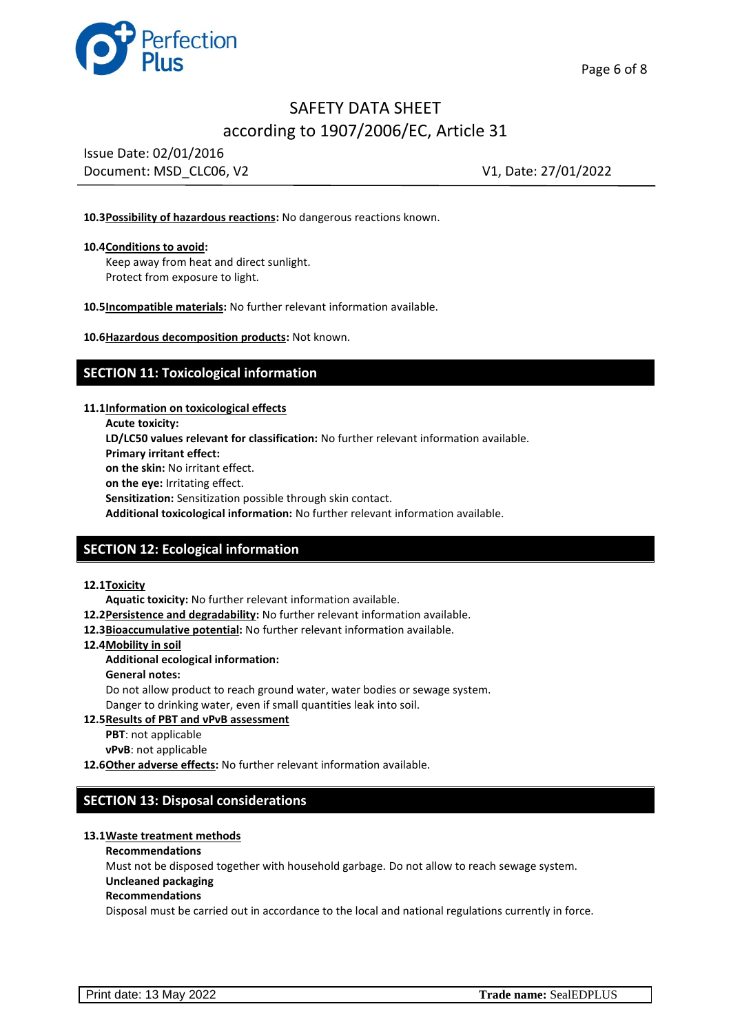

Issue Date: 02/01/2016 Document: MSD CLC06, V2 V1, Date: 27/01/2022

#### **10.3Possibility of hazardous reactions:** No dangerous reactions known.

#### **10.4Conditions to avoid:**

Keep away from heat and direct sunlight. Protect from exposure to light.

**10.5Incompatible materials:** No further relevant information available.

**10.6Hazardous decomposition products:** Not known.

### **SECTION 11: Toxicological information**

**11.1Information on toxicological effects**

**Acute toxicity: LD/LC50 values relevant for classification:** No further relevant information available. **Primary irritant effect: on the skin:** No irritant effect. **on the eye:** Irritating effect. **Sensitization:** Sensitization possible through skin contact. **Additional toxicological information:** No further relevant information available.

### **SECTION 12: Ecological information**

#### **12.1Toxicity**

**Aquatic toxicity:** No further relevant information available.

- **12.2Persistence and degradability:** No further relevant information available.
- **12.3Bioaccumulative potential:** No further relevant information available.
- **12.4Mobility in soil**

#### **Additional ecological information:**

**General notes:**

Do not allow product to reach ground water, water bodies or sewage system. Danger to drinking water, even if small quantities leak into soil.

#### **12.5Results of PBT and νPνB assessment**

- **PBT**: not applicable
- **νPνB**: not applicable

**12.6Other adverse effects:** No further relevant information available.

### **SECTION 13: Disposal considerations**

#### **13.1Waste treatment methods**

#### **Recommendations**

Must not be disposed together with household garbage. Do not allow to reach sewage system. **Uncleaned packaging**

#### **Recommendations**

Disposal must be carried out in accordance to the local and national regulations currently in force.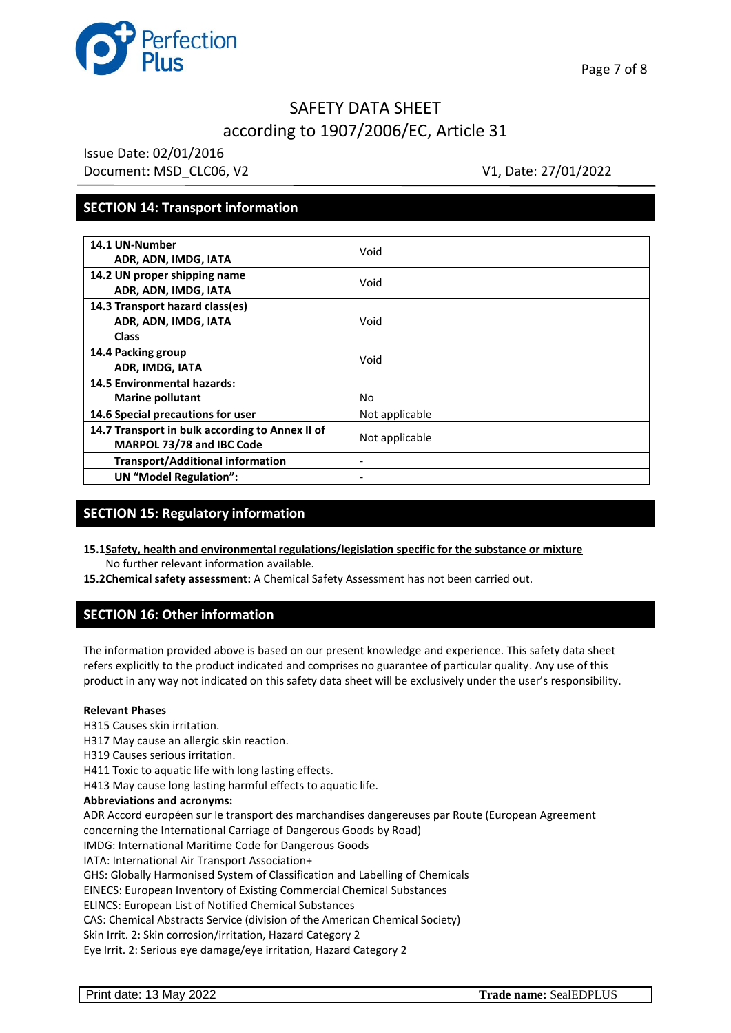

Issue Date: 02/01/2016 Document: MSD\_CLC06, V2 V1, Date: 27/01/2022

## **SECTION 14: Transport information**

| 14.1 UN-Number<br>ADR, ADN, IMDG, IATA                                       | Void           |
|------------------------------------------------------------------------------|----------------|
| 14.2 UN proper shipping name<br>ADR, ADN, IMDG, IATA                         | Void           |
| 14.3 Transport hazard class(es)<br>ADR, ADN, IMDG, IATA<br><b>Class</b>      | Void           |
| 14.4 Packing group<br>ADR, IMDG, IATA                                        | Void           |
| <b>14.5 Environmental hazards:</b><br><b>Marine pollutant</b>                | No             |
| 14.6 Special precautions for user                                            | Not applicable |
| 14.7 Transport in bulk according to Annex II of<br>MARPOL 73/78 and IBC Code | Not applicable |
| <b>Transport/Additional information</b>                                      |                |
| <b>UN "Model Regulation":</b>                                                |                |

## **SECTION 15: Regulatory information**

- **15.1Safety, health and environmental regulations/legislation specific for the substance or mixture** No further relevant information available.
- **15.2Chemical safety assessment:** A Chemical Safety Assessment has not been carried out.

## **SECTION 16: Other information**

The information provided above is based on our present knowledge and experience. This safety data sheet refers explicitly to the product indicated and comprises no guarantee of particular quality. Any use of this product in any way not indicated on this safety data sheet will be exclusively under the user's responsibility.

#### **Relevant Phases**

H315 Causes skin irritation. H317 May cause an allergic skin reaction. H319 Causes serious irritation. H411 Toxic to aquatic life with long lasting effects. H413 May cause long lasting harmful effects to aquatic life. **Abbreviations and acronyms:** ADR Accord européen sur le transport des marchandises dangereuses par Route (European Agreement concerning the International Carriage of Dangerous Goods by Road) IMDG: International Maritime Code for Dangerous Goods IATA: International Air Transport Association+ GHS: Globally Harmonised System of Classification and Labelling of Chemicals EINECS: European Inventory of Existing Commercial Chemical Substances ELINCS: European List of Notified Chemical Substances CAS: Chemical Abstracts Service (division of the American Chemical Society)

Skin Irrit. 2: Skin corrosion/irritation, Hazard Category 2

Eye Irrit. 2: Serious eye damage/eye irritation, Hazard Category 2